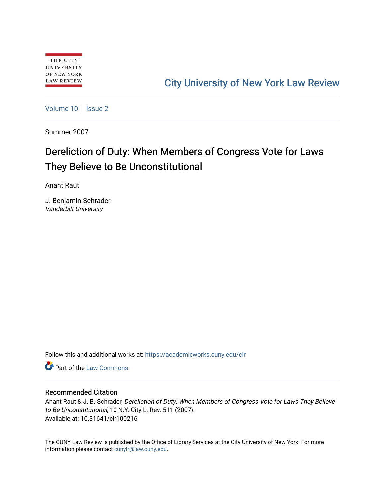# [City University of New York Law Review](https://academicworks.cuny.edu/clr)

[Volume 10](https://academicworks.cuny.edu/clr/vol10) | [Issue 2](https://academicworks.cuny.edu/clr/vol10/iss2)

Summer 2007

# Dereliction of Duty: When Members of Congress Vote for Laws They Believe to Be Unconstitutional

Anant Raut

J. Benjamin Schrader Vanderbilt University

Follow this and additional works at: [https://academicworks.cuny.edu/clr](https://academicworks.cuny.edu/clr?utm_source=academicworks.cuny.edu%2Fclr%2Fvol10%2Fiss2%2F17&utm_medium=PDF&utm_campaign=PDFCoverPages) 

**C** Part of the [Law Commons](http://network.bepress.com/hgg/discipline/578?utm_source=academicworks.cuny.edu%2Fclr%2Fvol10%2Fiss2%2F17&utm_medium=PDF&utm_campaign=PDFCoverPages)

# Recommended Citation

Anant Raut & J. B. Schrader, Dereliction of Duty: When Members of Congress Vote for Laws They Believe to Be Unconstitutional, 10 N.Y. City L. Rev. 511 (2007). Available at: 10.31641/clr100216

The CUNY Law Review is published by the Office of Library Services at the City University of New York. For more information please contact [cunylr@law.cuny.edu](mailto:cunylr@law.cuny.edu).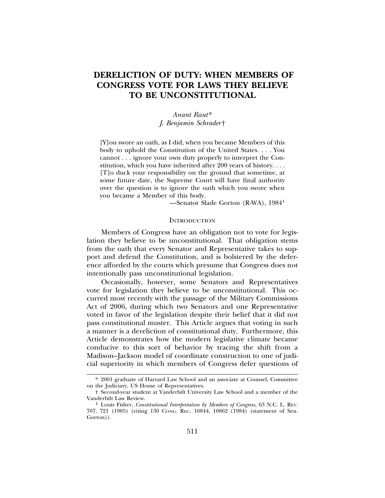# **DERELICTION OF DUTY: WHEN MEMBERS OF CONGRESS VOTE FOR LAWS THEY BELIEVE TO BE UNCONSTITUTIONAL**

# *Anant Raut*\* *J. Benjamin Schrader* †

[Y]ou swore an oath, as I did, when you became Members of this body to uphold the Constitution of the United States. . . . You cannot . . . ignore your own duty properly to interpret the Constitution, which you have inherited after 200 years of history. . . . [T]o duck your responsibility on the ground that sometime, at some future date, the Supreme Court will have final authority over the question is to ignore the oath which you swore when you became a Member of this body.

—Senator Slade Gorton (R-WA), 1984<sup>1</sup>

#### **INTRODUCTION**

Members of Congress have an obligation not to vote for legislation they believe to be unconstitutional. That obligation stems from the oath that every Senator and Representative takes to support and defend the Constitution, and is bolstered by the deference afforded by the courts which presume that Congress does not intentionally pass unconstitutional legislation.

Occasionally, however, some Senators and Representatives vote for legislation they believe to be unconstitutional. This occurred most recently with the passage of the Military Commissions Act of 2006, during which two Senators and one Representative voted in favor of the legislation despite their belief that it did not pass constitutional muster. This Article argues that voting in such a manner is a dereliction of constitutional duty. Furthermore, this Article demonstrates how the modern legislative climate became conducive to this sort of behavior by tracing the shift from a Madison–Jackson model of coordinate construction to one of judicial superiority in which members of Congress defer questions of

<sup>\* 2001</sup> graduate of Harvard Law School and an associate at Counsel, Committee on the Judiciary, US House of Representatives.

<sup>†</sup> Second-year student at Vanderbilt University Law School and a member of the Vanderbilt Law Review. <sup>1</sup> Louis Fisher, *Constitutional Interpretation by Members of Congress*, 63 N.C. L. REV.

<sup>707, 721 (1985) (</sup>citing 130 CONG. REC. 10844, 10862 (1984) (statement of Sen. Gorton).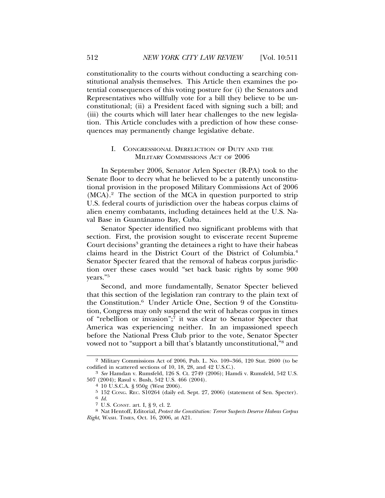constitutionality to the courts without conducting a searching constitutional analysis themselves. This Article then examines the potential consequences of this voting posture for (i) the Senators and Representatives who willfully vote for a bill they believe to be unconstitutional; (ii) a President faced with signing such a bill; and (iii) the courts which will later hear challenges to the new legislation. This Article concludes with a prediction of how these consequences may permanently change legislative debate.

# I. CONGRESSIONAL DERELICTION OF DUTY AND THE MILITARY COMMISSIONS ACT OF 2006

In September 2006, Senator Arlen Specter (R-PA) took to the Senate floor to decry what he believed to be a patently unconstitutional provision in the proposed Military Commissions Act of 2006  $(MCA).<sup>2</sup>$  The section of the MCA in question purported to strip U.S. federal courts of jurisdiction over the habeas corpus claims of alien enemy combatants, including detainees held at the U.S. Naval Base in Guantánamo Bay, Cuba.

Senator Specter identified two significant problems with that section. First, the provision sought to eviscerate recent Supreme Court decisions<sup>3</sup> granting the detainees a right to have their habeas claims heard in the District Court of the District of Columbia.4 Senator Specter feared that the removal of habeas corpus jurisdiction over these cases would "set back basic rights by some 900 years."5

Second, and more fundamentally, Senator Specter believed that this section of the legislation ran contrary to the plain text of the Constitution.6 Under Article One, Section 9 of the Constitution, Congress may only suspend the writ of habeas corpus in times of "rebellion or invasion"; $\bar{7}$  it was clear to Senator Specter that America was experiencing neither. In an impassioned speech before the National Press Club prior to the vote, Senator Specter vowed not to "support a bill that's blatantly unconstitutional,"<sup>8</sup> and

 $2$  Military Commissions Act of 2006, Pub. L. No. 109–366, 120 Stat. 2600 (to be codified in scattered sections of 10, 18, 28, and 42 U.S.C.).

<sup>&</sup>lt;sup>3</sup> *See* Hamdan v. Rumsfeld, 126 S. Ct. 2749 (2006); Hamdi v. Rumsfeld, 542 U.S. 507 (2004); Rasul v. Bush, 542 U.S. 466 (2004). <sup>4</sup> 10 U.S.C.A. § 950g (West 2006).

<sup>5 152</sup> Cong. Rec.  $\overline{S10264}$  (daily ed. Sept. 27, 2006) (statement of Sen. Specter).<br>6 *Id.* 7 U.S. Const. art. I, § 9, cl. 2.

<sup>&</sup>lt;sup>8</sup> Nat Hentoff, Editorial, *Protect the Constitution: Terror Suspects Deserve Habeas Corpus Right*, WASH. TIMES, Oct. 16, 2006, at A21.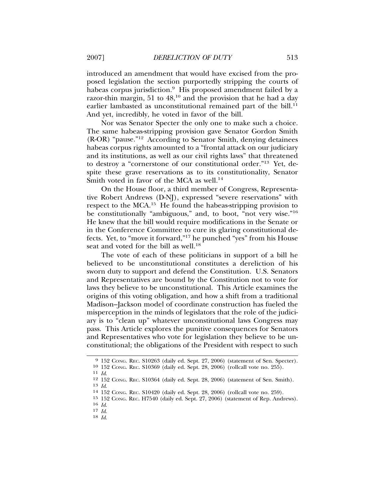introduced an amendment that would have excised from the proposed legislation the section purportedly stripping the courts of habeas corpus jurisdiction.<sup>9</sup> His proposed amendment failed by a razor-thin margin, 51 to 48,10 and the provision that he had a day earlier lambasted as unconstitutional remained part of the bill.<sup>11</sup> And yet, incredibly, he voted in favor of the bill.

Nor was Senator Specter the only one to make such a choice. The same habeas-stripping provision gave Senator Gordon Smith (R-OR) "pause."12 According to Senator Smith, denying detainees habeas corpus rights amounted to a "frontal attack on our judiciary and its institutions, as well as our civil rights laws" that threatened to destroy a "cornerstone of our constitutional order."13 Yet, despite these grave reservations as to its constitutionality, Senator Smith voted in favor of the MCA as well.<sup>14</sup>

On the House floor, a third member of Congress, Representative Robert Andrews (D-NJ), expressed "severe reservations" with respect to the MCA.<sup>15</sup> He found the habeas-stripping provision to be constitutionally "ambiguous," and, to boot, "not very wise."<sup>16</sup> He knew that the bill would require modifications in the Senate or in the Conference Committee to cure its glaring constitutional defects. Yet, to "move it forward,"17 he punched "yes" from his House seat and voted for the bill as well.<sup>18</sup>

The vote of each of these politicians in support of a bill he believed to be unconstitutional constitutes a dereliction of his sworn duty to support and defend the Constitution. U.S. Senators and Representatives are bound by the Constitution not to vote for laws they believe to be unconstitutional. This Article examines the origins of this voting obligation, and how a shift from a traditional Madison–Jackson model of coordinate construction has fueled the misperception in the minds of legislators that the role of the judiciary is to "clean up" whatever unconstitutional laws Congress may pass. This Article explores the punitive consequences for Senators and Representatives who vote for legislation they believe to be unconstitutional; the obligations of the President with respect to such

<sup>9</sup> 152 CONG. REC. S10263 (daily ed. Sept. 27, 2006) (statement of Sen. Specter).

<sup>10</sup> 152 CONG. REC. S10369 (daily ed. Sept. 28, 2006) (rollcall vote no. 255). <sup>11</sup> *Id*. <sup>12</sup> 152 CONG. REC. S10364 (daily ed. Sept. 28, 2006) (statement of Sen. Smith).

<sup>13</sup> *Id*. <sup>14</sup> 152 CONG. REC. S10420 (daily ed. Sept. 28, 2006) (rollcall vote no. 259).

 $^{15}$  152 Cong. Rec. H7540 (daily ed. Sept. 27, 2006) (statement of Rep. Andrews).  $^{16}$  Id.

<sup>16</sup> *Id*. 17 *Id*. 18 *Id*.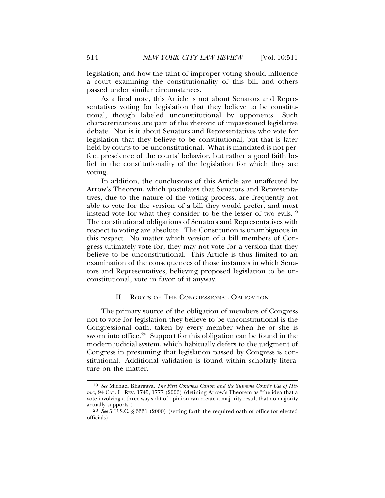legislation; and how the taint of improper voting should influence a court examining the constitutionality of this bill and others passed under similar circumstances.

As a final note, this Article is not about Senators and Representatives voting for legislation that they believe to be constitutional, though labeled unconstitutional by opponents. Such characterizations are part of the rhetoric of impassioned legislative debate. Nor is it about Senators and Representatives who vote for legislation that they believe to be constitutional, but that is later held by courts to be unconstitutional. What is mandated is not perfect prescience of the courts' behavior, but rather a good faith belief in the constitutionality of the legislation for which they are voting.

In addition, the conclusions of this Article are unaffected by Arrow's Theorem, which postulates that Senators and Representatives, due to the nature of the voting process, are frequently not able to vote for the version of a bill they would prefer, and must instead vote for what they consider to be the lesser of two evils.19 The constitutional obligations of Senators and Representatives with respect to voting are absolute. The Constitution is unambiguous in this respect. No matter which version of a bill members of Congress ultimately vote for, they may not vote for a version that they believe to be unconstitutional. This Article is thus limited to an examination of the consequences of those instances in which Senators and Representatives, believing proposed legislation to be unconstitutional, vote in favor of it anyway.

### II. ROOTS OF THE CONGRESSIONAL OBLIGATION

The primary source of the obligation of members of Congress not to vote for legislation they believe to be unconstitutional is the Congressional oath, taken by every member when he or she is sworn into office.<sup>20</sup> Support for this obligation can be found in the modern judicial system, which habitually defers to the judgment of Congress in presuming that legislation passed by Congress is constitutional. Additional validation is found within scholarly literature on the matter.

<sup>19</sup> *See* Michael Bhargava, *The First Congress Canon and the Supreme Court's Use of History*, 94 CAL. L. REV. 1745, 1777 (2006) (defining Arrow's Theorem as "the idea that a vote involving a three-way split of opinion can create a majority result that no majority actually supports").

<sup>20</sup> *See* 5 U.S.C. § 3331 (2000) (setting forth the required oath of office for elected officials).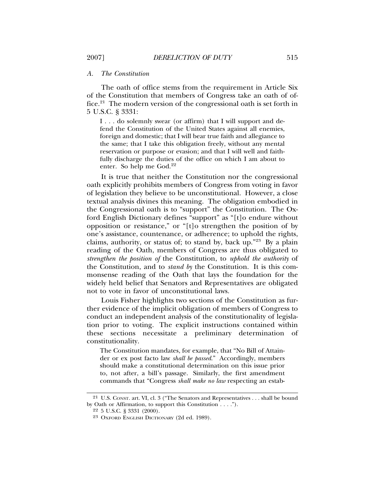#### *A. The Constitution*

The oath of office stems from the requirement in Article Six of the Constitution that members of Congress take an oath of office.21 The modern version of the congressional oath is set forth in 5 U.S.C. § 3331:

I . . . do solemnly swear (or affirm) that I will support and defend the Constitution of the United States against all enemies, foreign and domestic; that I will bear true faith and allegiance to the same; that I take this obligation freely, without any mental reservation or purpose or evasion; and that I will well and faithfully discharge the duties of the office on which I am about to enter. So help me  $God.<sup>22</sup>$ 

It is true that neither the Constitution nor the congressional oath explicitly prohibits members of Congress from voting in favor of legislation they believe to be unconstitutional. However, a close textual analysis divines this meaning. The obligation embodied in the Congressional oath is to "support" the Constitution. The Oxford English Dictionary defines "support" as "[t]o endure without opposition or resistance," or "[t]o strengthen the position of by one's assistance, countenance, or adherence; to uphold the rights, claims, authority, or status of; to stand by, back up."23 By a plain reading of the Oath, members of Congress are thus obligated to *strengthen the position of* the Constitution, to *uphold the authority* of the Constitution, and to *stand by* the Constitution. It is this commonsense reading of the Oath that lays the foundation for the widely held belief that Senators and Representatives are obligated not to vote in favor of unconstitutional laws.

Louis Fisher highlights two sections of the Constitution as further evidence of the implicit obligation of members of Congress to conduct an independent analysis of the constitutionality of legislation prior to voting. The explicit instructions contained within these sections necessitate a preliminary determination of constitutionality.

The Constitution mandates, for example, that "No Bill of Attainder or ex post facto law *shall be passed*." Accordingly, members should make a constitutional determination on this issue prior to, not after, a bill's passage. Similarly, the first amendment commands that "Congress *shall make no law* respecting an estab-

<sup>21</sup> U.S. CONST. art. VI, cl. 3 ("The Senators and Representatives . . . shall be bound by Oath or Affirmation, to support this Constitution . . . .").

<sup>22</sup> 5 U.S.C. § 3331 (2000).

<sup>23</sup> OXFORD ENGLISH DICTIONARY (2d ed. 1989).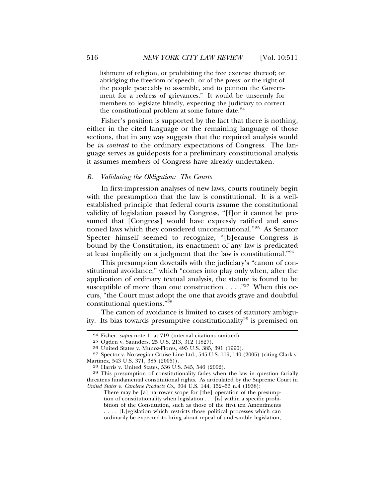lishment of religion, or prohibiting the free exercise thereof; or abridging the freedom of speech, or of the press; or the right of the people peaceably to assemble, and to petition the Government for a redress of grievances." It would be unseemly for members to legislate blindly, expecting the judiciary to correct the constitutional problem at some future date.<sup>24</sup>

Fisher's position is supported by the fact that there is nothing, either in the cited language or the remaining language of those sections, that in any way suggests that the required analysis would be *in contrast* to the ordinary expectations of Congress. The language serves as guideposts for a preliminary constitutional analysis it assumes members of Congress have already undertaken.

#### *B. Validating the Obligation: The Courts*

In first-impression analyses of new laws, courts routinely begin with the presumption that the law is constitutional. It is a wellestablished principle that federal courts assume the constitutional validity of legislation passed by Congress, "[f]or it cannot be presumed that [Congress] would have expressly ratified and sanctioned laws which they considered unconstitutional."25 As Senator Specter himself seemed to recognize, "[b]ecause Congress is bound by the Constitution, its enactment of any law is predicated at least implicitly on a judgment that the law is constitutional."26

This presumption dovetails with the judiciary's "canon of constitutional avoidance," which "comes into play only when, after the application of ordinary textual analysis, the statute is found to be susceptible of more than one construction . . . ."27 When this occurs, "the Court must adopt the one that avoids grave and doubtful constitutional questions."<sup>28</sup>

The canon of avoidance is limited to cases of statutory ambiguity. Its bias towards presumptive constitutionality<sup>29</sup> is premised on

<sup>24</sup> Fisher, *supra* note 1, at 719 (internal citations omitted).

<sup>25</sup> Ogden v. Saunders, 25 U.S. 213, 312 (1827).

<sup>26</sup> United States v. Munoz-Flores, 495 U.S. 385, 391 (1990).

<sup>27</sup> Spector v. Norwegian Cruise Line Ltd., 545 U.S. 119, 140 (2005) (citing Clark v. Martinez, 543 U.S. 371, 385 (2005)).

<sup>28</sup> Harris v. United States, 536 U.S. 545, 546 (2002).

<sup>29</sup> This presumption of constitutionality fades when the law in question facially threatens fundamental constitutional rights. As articulated by the Supreme Court in *United States v. Carolene Products Co.*, 304 U.S. 144, 152–53 n.4 (1938):

There may be [a] narrower scope for [the] operation of the presumption of constitutionality when legislation . . . [is] within a specific prohibition of the Constitution, such as those of the first ten Amendments . . . . [L]egislation which restricts those political processes which can ordinarily be expected to bring about repeal of undesirable legislation,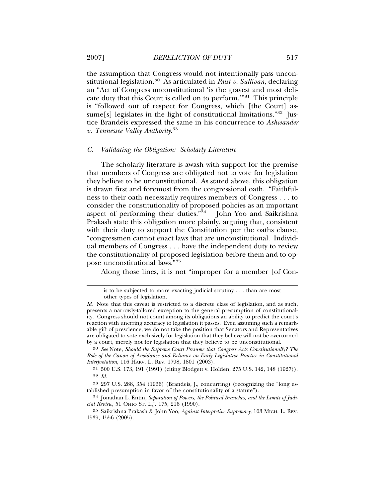the assumption that Congress would not intentionally pass unconstitutional legislation.30 As articulated in *Rust v. Sullivan*, declaring an "Act of Congress unconstitutional 'is the gravest and most delicate duty that this Court is called on to perform.'"31 This principle is "followed out of respect for Congress, which [the Court] assume[s] legislates in the light of constitutional limitations." $32$  Justice Brandeis expressed the same in his concurrence to *Ashwander v. Tennessee Valley Authority*. 33

#### *C. Validating the Obligation: Scholarly Literature*

The scholarly literature is awash with support for the premise that members of Congress are obligated not to vote for legislation they believe to be unconstitutional. As stated above, this obligation is drawn first and foremost from the congressional oath. "Faithfulness to their oath necessarily requires members of Congress . . . to consider the constitutionality of proposed policies as an important aspect of performing their duties."34 John Yoo and Saikrishna Prakash state this obligation more plainly, arguing that, consistent with their duty to support the Constitution per the oaths clause, "congressmen cannot enact laws that are unconstitutional. Individual members of Congress . . . have the independent duty to review the constitutionality of proposed legislation before them and to oppose unconstitutional laws."<sup>35</sup>

Along those lines, it is not "improper for a member [of Con-

is to be subjected to more exacting judicial scrutiny . . . than are most other types of legislation.

*Id*. Note that this caveat is restricted to a discrete class of legislation, and as such, presents a narrowly-tailored exception to the general presumption of constitutionality. Congress should not count among its obligations an ability to predict the court's reaction with unerring accuracy to legislation it passes. Even assuming such a remarkable gift of prescience, we do not take the position that Senators and Representatives are obligated to vote exclusively for legislation that they believe will not be overturned by a court, merely not for legislation that they believe to be unconstitutional.

<sup>30</sup> *See* Note, *Should the Supreme Court Presume that Congress Acts Constitutionally? The Role of the Canon of Avoidance and Reliance on Early Legislative Practice in Constitutional Interpretation*, 116 HARV. L. REV. 1798, 1801 (2003).

<sup>31</sup> 500 U.S. 173, 191 (1991) (citing Blodgett v. Holden, 275 U.S. 142, 148 (1927)). 32 *Id.*

<sup>33</sup> 297 U.S. 288, 354 (1936) (Brandeis, J., concurring) (recognizing the "long established presumption in favor of the constitutionality of a statute").

<sup>34</sup> Jonathan L. Entin, *Separation of Powers, the Political Branches, and the Limits of Judicial Review*, 51 OHIO ST. L.J. 175, 216 (1990).

<sup>35</sup> Saikrishna Prakash & John Yoo, *Against Interpretive Supremacy*, 103 MICH. L. REV. 1539, 1556 (2005).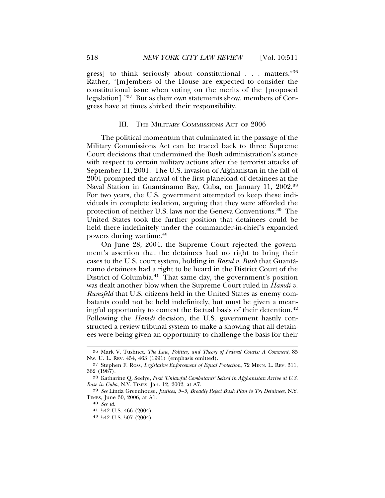gress] to think seriously about constitutional . . . matters."36 Rather, "[m]embers of the House are expected to consider the constitutional issue when voting on the merits of the [proposed legislation]."37 But as their own statements show, members of Congress have at times shirked their responsibility.

#### III. THE MILITARY COMMISSIONS ACT OF 2006

The political momentum that culminated in the passage of the Military Commissions Act can be traced back to three Supreme Court decisions that undermined the Bush administration's stance with respect to certain military actions after the terrorist attacks of September 11, 2001. The U.S. invasion of Afghanistan in the fall of 2001 prompted the arrival of the first planeload of detainees at the Naval Station in Guantánamo Bay, Cuba, on January 11, 2002.<sup>38</sup> For two years, the U.S. government attempted to keep these individuals in complete isolation, arguing that they were afforded the protection of neither U.S. laws nor the Geneva Conventions.39 The United States took the further position that detainees could be held there indefinitely under the commander-in-chief's expanded powers during wartime.40

On June 28, 2004, the Supreme Court rejected the government's assertion that the detainees had no right to bring their cases to the U.S. court system, holding in *Rasul v. Bush* that Guanta-´ namo detainees had a right to be heard in the District Court of the District of Columbia.<sup>41</sup> That same day, the government's position was dealt another blow when the Supreme Court ruled in *Hamdi v. Rumsfeld* that U.S. citizens held in the United States as enemy combatants could not be held indefinitely, but must be given a meaningful opportunity to contest the factual basis of their detention.<sup>42</sup> Following the *Hamdi* decision, the U.S. government hastily constructed a review tribunal system to make a showing that all detainees were being given an opportunity to challenge the basis for their

<sup>36</sup> Mark V. Tushnet, *The Law, Politics, and Theory of Federal Courts: A Comment*, 85 NW. U. L. REV. 454, 463 (1991) (emphasis omitted).

<sup>37</sup> Stephen F. Ross, *Legislative Enforcement of Equal Protection*, 72 MINN. L. REV. 311, 362 (1987).

<sup>38</sup> Katharine Q. Seelye, *First 'Unlawful Combatants' Seized in Afghanistan Arrive at U.S. Base in Cuba*, N.Y. TIMES, Jan. 12, 2002, at A7.

<sup>39</sup> *See* Linda Greenhouse, *Justices, 5–3, Broadly Reject Bush Plan to Try Detainees*, N.Y. TIMES, June 30, 2006, at A1.

<sup>40</sup> *See id.*

<sup>41</sup> 542 U.S. 466 (2004).

<sup>42</sup> 542 U.S. 507 (2004).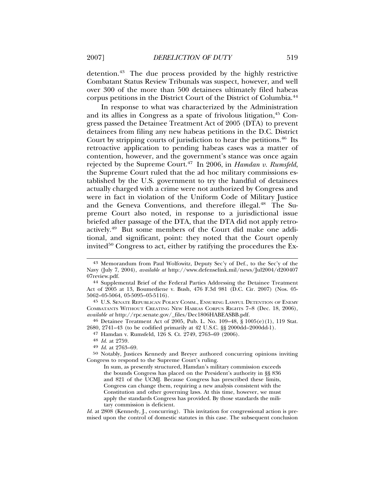detention.<sup>43</sup> The due process provided by the highly restrictive Combatant Status Review Tribunals was suspect, however, and well over 300 of the more than 500 detainees ultimately filed habeas corpus petitions in the District Court of the District of Columbia.44

In response to what was characterized by the Administration and its allies in Congress as a spate of frivolous litigation,<sup>45</sup> Congress passed the Detainee Treatment Act of 2005 (DTA) to prevent detainees from filing any new habeas petitions in the D.C. District Court by stripping courts of jurisdiction to hear the petitions.<sup>46</sup> Its retroactive application to pending habeas cases was a matter of contention, however, and the government's stance was once again rejected by the Supreme Court.<sup>47</sup> In 2006, in *Hamdan v. Rumsfeld*, the Supreme Court ruled that the ad hoc military commissions established by the U.S. government to try the handful of detainees actually charged with a crime were not authorized by Congress and were in fact in violation of the Uniform Code of Military Justice and the Geneva Conventions, and therefore illegal.<sup>48</sup> The Supreme Court also noted, in response to a jurisdictional issue briefed after passage of the DTA, that the DTA did not apply retroactively.49 But some members of the Court did make one additional, and significant, point: they noted that the Court openly invited<sup>50</sup> Congress to act, either by ratifying the procedures the Ex-

45 U.S. SENATE REPUBLICAN POLICY COMM., ENSURING LAWFUL DETENTION OF ENEMY COMBATANTS WITHOUT CREATING NEW HABEAS CORPUS RIGHTS 7–8 (Dec. 18, 2006), *available at* http://rpc.senate.gov/\_files/Dec1806HABEASBB.pdf.

46 Detainee Treatment Act of 2005, Pub. L. No. 109–48, § 1005(e)(1), 119 Stat. 2680, 2741–43 (to be codified primarily at 42 U.S.C. §§ 2000dd–2000dd-1).

47 Hamdan v. Rumsfeld, 126 S. Ct. 2749, 2763–69 (2006).

49 *Id*. at 2763–69.

50 Notably, Justices Kennedy and Breyer authored concurring opinions inviting Congress to respond to the Supreme Court's ruling.

Id. at 2808 (Kennedy, J., concurring). This invitation for congressional action is premised upon the control of domestic statutes in this case. The subsequent conclusion

<sup>43</sup> Memorandum from Paul Wolfowitz, Deputy Sec'y of Def., to the Sec'y of the Navy (July 7, 2004), *available at* http://www.defenselink.mil/news/Jul2004/d200407 07review.pdf.

<sup>44</sup> Supplemental Brief of the Federal Parties Addressing the Detainee Treatment Act of 2005 at 13, Boumediene v. Bush, 476 F.3d 981 (D.C. Cir. 2007) (Nos. 05- 5062–05-5064, 05-5095–05-5116).

<sup>48</sup> *Id.* at 2759.

In sum, as presently structured, Hamdan's military commission exceeds the bounds Congress has placed on the President's authority in §§ 836 and 821 of the UCMJ. Because Congress has prescribed these limits, Congress can change them, requiring a new analysis consistent with the Constitution and other governing laws. At this time, however, we must apply the standards Congress has provided. By those standards the military commission is deficient.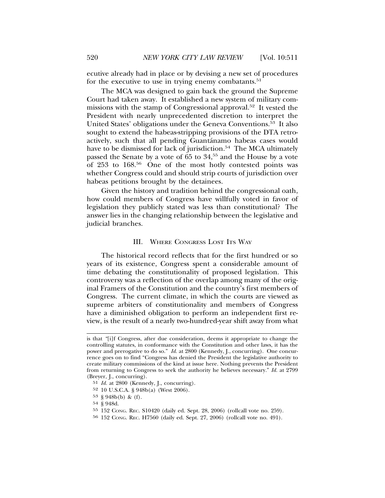ecutive already had in place or by devising a new set of procedures for the executive to use in trying enemy combatants.<sup>51</sup>

The MCA was designed to gain back the ground the Supreme Court had taken away. It established a new system of military commissions with the stamp of Congressional approval.52 It vested the President with nearly unprecedented discretion to interpret the United States' obligations under the Geneva Conventions.53 It also sought to extend the habeas-stripping provisions of the DTA retroactively, such that all pending Guantánamo habeas cases would have to be dismissed for lack of jurisdiction.<sup>54</sup> The MCA ultimately passed the Senate by a vote of 65 to 34,55 and the House by a vote of 253 to 168.56 One of the most hotly contested points was whether Congress could and should strip courts of jurisdiction over habeas petitions brought by the detainees.

Given the history and tradition behind the congressional oath, how could members of Congress have willfully voted in favor of legislation they publicly stated was less than constitutional? The answer lies in the changing relationship between the legislative and judicial branches.

#### III. WHERE CONGRESS LOST ITS WAY

The historical record reflects that for the first hundred or so years of its existence, Congress spent a considerable amount of time debating the constitutionality of proposed legislation. This controversy was a reflection of the overlap among many of the original Framers of the Constitution and the country's first members of Congress. The current climate, in which the courts are viewed as supreme arbiters of constitutionality and members of Congress have a diminished obligation to perform an independent first review, is the result of a nearly two-hundred-year shift away from what

is that *"*[i]f Congress, after due consideration, deems it appropriate to change the controlling statutes, in conformance with the Constitution and other laws, it has the power and prerogative to do so." *Id.* at 2800 (Kennedy, J., concurring). One concurrence goes on to find "Congress has denied the President the legislative authority to create military commissions of the kind at issue here. Nothing prevents the President from returning to Congress to seek the authority he believes necessary." *Id.* at 2799 (Breyer, J., concurring).

<sup>51</sup> *Id.* at 2800 (Kennedy, J., concurring).

<sup>52</sup> 10 U.S.C.A. § 948b(a) (West 2006).

<sup>53</sup> § 948b(b) & (f).

<sup>54</sup> § 948d.

<sup>55</sup> 152 CONG. REC. S10420 (daily ed. Sept. 28, 2006) (rollcall vote no. 259).

<sup>56</sup> 152 CONG. REC. H7560 (daily ed. Sept. 27, 2006) (rollcall vote no. 491).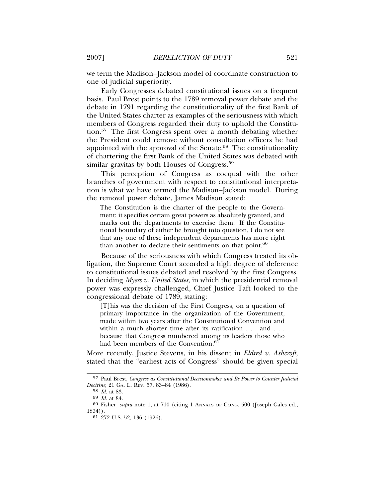we term the Madison–Jackson model of coordinate construction to one of judicial superiority.

Early Congresses debated constitutional issues on a frequent basis. Paul Brest points to the 1789 removal power debate and the debate in 1791 regarding the constitutionality of the first Bank of the United States charter as examples of the seriousness with which members of Congress regarded their duty to uphold the Constitution.57 The first Congress spent over a month debating whether the President could remove without consultation officers he had appointed with the approval of the Senate.58 The constitutionality of chartering the first Bank of the United States was debated with similar gravitas by both Houses of Congress.<sup>59</sup>

This perception of Congress as coequal with the other branches of government with respect to constitutional interpretation is what we have termed the Madison–Jackson model. During the removal power debate, James Madison stated:

The Constitution is the charter of the people to the Government; it specifies certain great powers as absolutely granted, and marks out the departments to exercise them. If the Constitutional boundary of either be brought into question, I do not see that any one of these independent departments has more right than another to declare their sentiments on that point. $60$ 

Because of the seriousness with which Congress treated its obligation, the Supreme Court accorded a high degree of deference to constitutional issues debated and resolved by the first Congress. In deciding *Myers v. United States*, in which the presidential removal power was expressly challenged, Chief Justice Taft looked to the congressional debate of 1789, stating:

[T]his was the decision of the First Congress, on a question of primary importance in the organization of the Government, made within two years after the Constitutional Convention and within a much shorter time after its ratification . . . and . . . because that Congress numbered among its leaders those who had been members of the Convention.<sup>61</sup>

More recently, Justice Stevens, in his dissent in *Eldred v. Ashcroft*, stated that the "earliest acts of Congress" should be given special

<sup>57</sup> Paul Brest, *Congress as Constitutional Decisionmaker and Its Power to Counter Judicial Doctrine*, 21 GA. L. REV. 57, 83–84 (1986).

<sup>58</sup> *Id.* at 83.

<sup>59</sup> *Id.* at 84.

<sup>60</sup> Fisher, *supra* note 1, at 710 (citing 1 ANNALS OF CONG. 500 (Joseph Gales ed., 1834)).

<sup>61</sup> 272 U.S. 52, 136 (1926).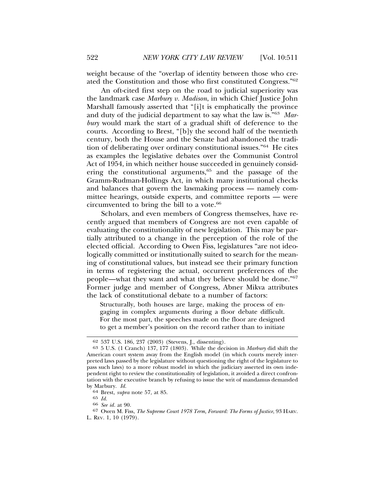weight because of the "overlap of identity between those who created the Constitution and those who first constituted Congress."62

An oft-cited first step on the road to judicial superiority was the landmark case *Marbury v. Madison*, in which Chief Justice John Marshall famously asserted that "[i]t is emphatically the province and duty of the judicial department to say what the law is."63 *Marbury* would mark the start of a gradual shift of deference to the courts. According to Brest, "[b]y the second half of the twentieth century, both the House and the Senate had abandoned the tradition of deliberating over ordinary constitutional issues."64 He cites as examples the legislative debates over the Communist Control Act of 1954, in which neither house succeeded in genuinely considering the constitutional arguments,<sup>65</sup> and the passage of the Gramm-Rudman-Hollings Act, in which many institutional checks and balances that govern the lawmaking process — namely committee hearings, outside experts, and committee reports — were circumvented to bring the bill to a vote.<sup>66</sup>

Scholars, and even members of Congress themselves, have recently argued that members of Congress are not even capable of evaluating the constitutionality of new legislation. This may be partially attributed to a change in the perception of the role of the elected official. According to Owen Fiss, legislatures "are not ideologically committed or institutionally suited to search for the meaning of constitutional values, but instead see their primary function in terms of registering the actual, occurrent preferences of the people—what they want and what they believe should be done."67 Former judge and member of Congress, Abner Mikva attributes the lack of constitutional debate to a number of factors:

Structurally, both houses are large, making the process of engaging in complex arguments during a floor debate difficult. For the most part, the speeches made on the floor are designed to get a member's position on the record rather than to initiate

<sup>62</sup> 537 U.S. 186, 237 (2003) (Stevens, J., dissenting). <sup>63</sup> 5 U.S. (1 Cranch) 137, 177 (1803). While the decision in *Marbury* did shift the American court system away from the English model (in which courts merely interpreted laws passed by the legislature without questioning the right of the legislature to pass such laws) to a more robust model in which the judiciary asserted its own independent right to review the constitutionality of legislation, it avoided a direct confrontation with the executive branch by refusing to issue the writ of mandamus demanded

by Marbury. *Id.* <sup>64</sup> Brest, *supra* note 57, at 85.

<sup>65</sup> *Id.* <sup>66</sup> *See id.* at 90.

<sup>67</sup> Owen M. Fiss, *The Supreme Court 1978 Term, Forward: The Forms of Justice*, 93 HARV.

L. REV. 1, 10 (1979).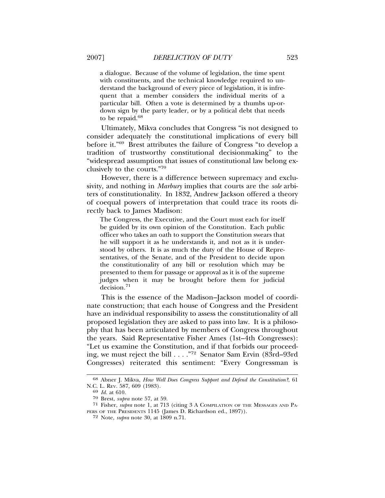a dialogue. Because of the volume of legislation, the time spent with constituents, and the technical knowledge required to understand the background of every piece of legislation, it is infrequent that a member considers the individual merits of a particular bill. Often a vote is determined by a thumbs up-ordown sign by the party leader, or by a political debt that needs to be repaid. $68$ 

Ultimately, Mikva concludes that Congress "is not designed to consider adequately the constitutional implications of every bill before it."69 Brest attributes the failure of Congress "to develop a tradition of trustworthy constitutional decisionmaking" to the "widespread assumption that issues of constitutional law belong exclusively to the courts."<sup>70</sup>

However, there is a difference between supremacy and exclusivity, and nothing in *Marbury* implies that courts are the *sole* arbiters of constitutionality. In 1832, Andrew Jackson offered a theory of coequal powers of interpretation that could trace its roots directly back to James Madison:

The Congress, the Executive, and the Court must each for itself be guided by its own opinion of the Constitution. Each public officer who takes an oath to support the Constitution swears that he will support it as he understands it, and not as it is understood by others. It is as much the duty of the House of Representatives, of the Senate, and of the President to decide upon the constitutionality of any bill or resolution which may be presented to them for passage or approval as it is of the supreme judges when it may be brought before them for judicial decision.<sup>71</sup>

This is the essence of the Madison–Jackson model of coordinate construction; that each house of Congress and the President have an individual responsibility to assess the constitutionality of all proposed legislation they are asked to pass into law. It is a philosophy that has been articulated by members of Congress throughout the years. Said Representative Fisher Ames (1st–4th Congresses): "Let us examine the Constitution, and if that forbids our proceeding, we must reject the bill . . . ."72 Senator Sam Ervin (83rd–93rd Congresses) reiterated this sentiment: "Every Congressman is

<sup>68</sup> Abner J. Mikva, *How Well Does Congress Support and Defend the Constitution?*, 61 N.C. L. REV. 587, 609 (1983). <sup>69</sup> *Id.* at 610.

<sup>70</sup> Brest, *supra* note 57, at 59.

<sup>71</sup> Fisher, *supra* note 1, at 713 (citing 3 A COMPILATION OF THE MESSAGES AND PA-PERS OF THE PRESIDENTS 1145 (James D. Richardson ed., 1897)).

<sup>72</sup> Note, *supra* note 30, at 1809 n.71.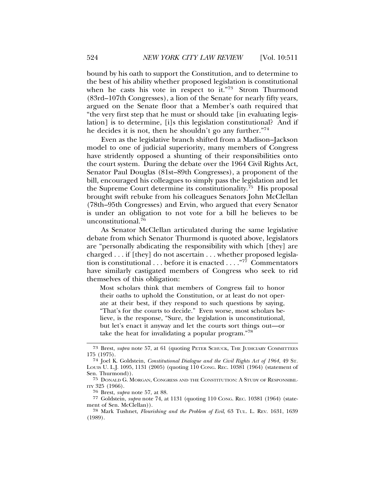bound by his oath to support the Constitution, and to determine to the best of his ability whether proposed legislation is constitutional when he casts his vote in respect to it."73 Strom Thurmond (83rd–107th Congresses), a lion of the Senate for nearly fifty years, argued on the Senate floor that a Member's oath required that "the very first step that he must or should take [in evaluating legislation] is to determine, [i]s this legislation constitutional? And if he decides it is not, then he shouldn't go any further."74

Even as the legislative branch shifted from a Madison–Jackson model to one of judicial superiority, many members of Congress have stridently opposed a shunting of their responsibilities onto the court system. During the debate over the 1964 Civil Rights Act, Senator Paul Douglas (81st–89th Congresses), a proponent of the bill, encouraged his colleagues to simply pass the legislation and let the Supreme Court determine its constitutionality.75 His proposal brought swift rebuke from his colleagues Senators John McClellan (78th–95th Congresses) and Ervin, who argued that every Senator is under an obligation to not vote for a bill he believes to be unconstitutional.<sup>76</sup>

As Senator McClellan articulated during the same legislative debate from which Senator Thurmond is quoted above, legislators are "personally abdicating the responsibility with which [they] are charged . . . if [they] do not ascertain . . . whether proposed legislation is constitutional . . . before it is enacted . . . ."77 Commentators have similarly castigated members of Congress who seek to rid themselves of this obligation:

Most scholars think that members of Congress fail to honor their oaths to uphold the Constitution, or at least do not operate at their best, if they respond to such questions by saying, "That's for the courts to decide." Even worse, most scholars believe, is the response, "Sure, the legislation is unconstitutional, but let's enact it anyway and let the courts sort things out—or take the heat for invalidating a popular program."<sup>78</sup>

<sup>73</sup> Brest, *supra* note 57, at 61 (quoting PETER SCHUCK, THE JUDICIARY COMMITTEES 175 (1975).

<sup>74</sup> Joel K. Goldstein, *Constitutional Dialogue and the Civil Rights Act of 1964*, 49 ST. LOUIS U. L.J. 1095, 1131 (2005) (quoting 110 CONG. REC. 10381 (1964) (statement of Sen. Thurmond)).

<sup>75</sup> DONALD G. MORGAN, CONGRESS AND THE CONSTITUTION: A STUDY OF RESPONSIBIL-ITY 325 (1966).

<sup>76</sup> Brest, *supra* note 57, at 88.

<sup>77</sup> Goldstein, *supra* note 74, at 1131 (quoting 110 CONG. REC. 10381 (1964) (statement of Sen. McClellan)).

<sup>78</sup> Mark Tushnet, *Flourishing and the Problem of Evil*, 63 TUL. L. REV. 1631, 1639 (1989).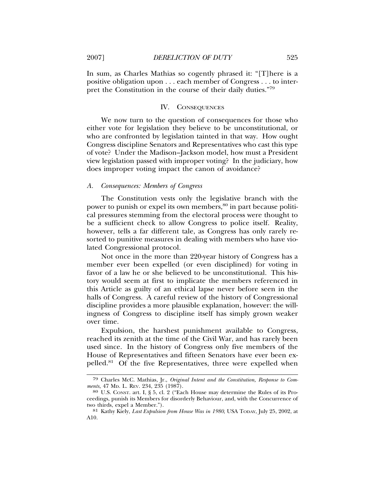In sum, as Charles Mathias so cogently phrased it: "[T]here is a positive obligation upon . . . each member of Congress . . . to interpret the Constitution in the course of their daily duties."79

#### IV. CONSEQUENCES

We now turn to the question of consequences for those who either vote for legislation they believe to be unconstitutional, or who are confronted by legislation tainted in that way. How ought Congress discipline Senators and Representatives who cast this type of vote? Under the Madison–Jackson model, how must a President view legislation passed with improper voting? In the judiciary, how does improper voting impact the canon of avoidance?

#### *A. Consequences: Members of Congress*

The Constitution vests only the legislative branch with the power to punish or expel its own members,<sup>80</sup> in part because political pressures stemming from the electoral process were thought to be a sufficient check to allow Congress to police itself. Reality, however, tells a far different tale, as Congress has only rarely resorted to punitive measures in dealing with members who have violated Congressional protocol.

Not once in the more than 220-year history of Congress has a member ever been expelled (or even disciplined) for voting in favor of a law he or she believed to be unconstitutional. This history would seem at first to implicate the members referenced in this Article as guilty of an ethical lapse never before seen in the halls of Congress. A careful review of the history of Congressional discipline provides a more plausible explanation, however: the willingness of Congress to discipline itself has simply grown weaker over time.

Expulsion, the harshest punishment available to Congress, reached its zenith at the time of the Civil War, and has rarely been used since. In the history of Congress only five members of the House of Representatives and fifteen Senators have ever been expelled.81 Of the five Representatives, three were expelled when

<sup>79</sup> Charles McC. Mathias, Jr., *Original Intent and the Constitution, Response to Com-*

<sup>&</sup>lt;sup>80</sup> U.S. CONST. art. I, § 5, cl. 2 ("Each House may determine the Rules of its Proceedings, punish its Members for disorderly Behaviour, and, with the Concurrence of two thirds, expel a Member.").

<sup>81</sup> Kathy Kiely, *Last Expulsion from House Was in 1980*, USA TODAY, July 25, 2002, at A10.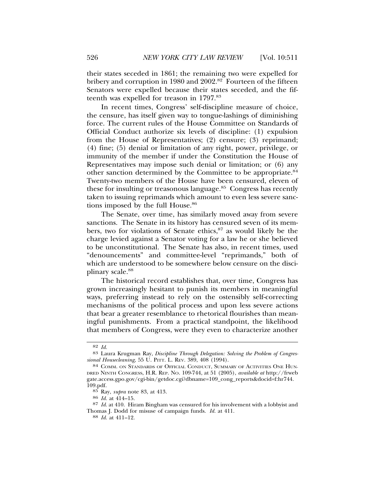their states seceded in 1861; the remaining two were expelled for bribery and corruption in 1980 and 2002.<sup>82</sup> Fourteen of the fifteen Senators were expelled because their states seceded, and the fifteenth was expelled for treason in 1797.83

In recent times, Congress' self-discipline measure of choice, the censure, has itself given way to tongue-lashings of diminishing force. The current rules of the House Committee on Standards of Official Conduct authorize six levels of discipline: (1) expulsion from the House of Representatives; (2) censure; (3) reprimand; (4) fine; (5) denial or limitation of any right, power, privilege, or immunity of the member if under the Constitution the House of Representatives may impose such denial or limitation; or (6) any other sanction determined by the Committee to be appropriate.<sup>84</sup> Twenty-two members of the House have been censured, eleven of these for insulting or treasonous language.<sup>85</sup> Congress has recently taken to issuing reprimands which amount to even less severe sanctions imposed by the full House.<sup>86</sup>

The Senate, over time, has similarly moved away from severe sanctions. The Senate in its history has censured seven of its members, two for violations of Senate ethics,<sup>87</sup> as would likely be the charge levied against a Senator voting for a law he or she believed to be unconstitutional. The Senate has also, in recent times, used "denouncements" and committee-level "reprimands," both of which are understood to be somewhere below censure on the disciplinary scale.<sup>88</sup>

The historical record establishes that, over time, Congress has grown increasingly hesitant to punish its members in meaningful ways, preferring instead to rely on the ostensibly self-correcting mechanisms of the political process and upon less severe actions that bear a greater resemblance to rhetorical flourishes than meaningful punishments. From a practical standpoint, the likelihood that members of Congress, were they even to characterize another

<sup>82</sup> *Id.* <sup>83</sup> Laura Krugman Ray, *Discipline Through Delegation: Solving the Problem of Congres-*

<sup>84</sup> COMM. ON STANDARDS OF OFFICIAL CONDUCT, SUMMARY OF ACTIVITIES ONE HUN-DRED NINTH CONGRESS, H.R. REP. NO. 109-744, at 51 (2005), *available at* http://frweb gate.access.gpo.gov/cgi-bin/getdoc.cgi?dbname=109\_cong\_reports&docid=f:hr744. 109.pdf.

<sup>85</sup> Ray, *supra* note 83, at 413. <sup>86</sup> *Id.* at 414–15.

<sup>87</sup> *Id.* at 410. Hiram Bingham was censured for his involvement with a lobbyist and Thomas J. Dodd for misuse of campaign funds. *Id.* at 411. <sup>88</sup> *Id.* at 411–12.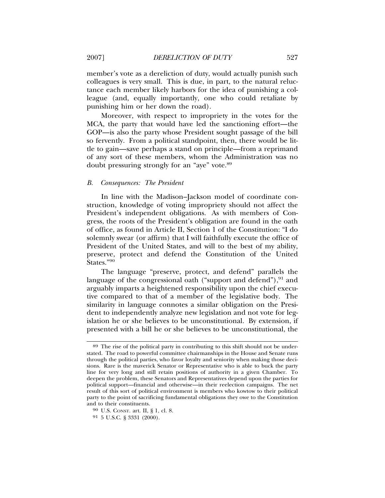member's vote as a dereliction of duty, would actually punish such colleagues is very small. This is due, in part, to the natural reluctance each member likely harbors for the idea of punishing a colleague (and, equally importantly, one who could retaliate by punishing him or her down the road).

Moreover, with respect to impropriety in the votes for the MCA, the party that would have led the sanctioning effort—the GOP—is also the party whose President sought passage of the bill so fervently. From a political standpoint, then, there would be little to gain—save perhaps a stand on principle—from a reprimand of any sort of these members, whom the Administration was no doubt pressuring strongly for an "aye" vote.89

# *B. Consequences: The President*

In line with the Madison–Jackson model of coordinate construction, knowledge of voting impropriety should not affect the President's independent obligations. As with members of Congress, the roots of the President's obligation are found in the oath of office, as found in Article II, Section 1 of the Constitution: "I do solemnly swear (or affirm) that I will faithfully execute the office of President of the United States, and will to the best of my ability, preserve, protect and defend the Constitution of the United States."90

The language "preserve, protect, and defend" parallels the language of the congressional oath ("support and defend"), $91$  and arguably imparts a heightened responsibility upon the chief executive compared to that of a member of the legislative body. The similarity in language connotes a similar obligation on the President to independently analyze new legislation and not vote for legislation he or she believes to be unconstitutional. By extension, if presented with a bill he or she believes to be unconstitutional, the

<sup>89</sup> The rise of the political party in contributing to this shift should not be understated. The road to powerful committee chairmanships in the House and Senate runs through the political parties, who favor loyalty and seniority when making those decisions. Rare is the maverick Senator or Representative who is able to buck the party line for very long and still retain positions of authority in a given Chamber. To deepen the problem, these Senators and Representatives depend upon the parties for political support—financial and otherwise—in their reelection campaigns. The net result of this sort of political environment is members who kowtow to their political party to the point of sacrificing fundamental obligations they owe to the Constitution and to their constituents.

<sup>90</sup> U.S. CONST. art. II, § 1, cl. 8.

<sup>91</sup> 5 U.S.C. § 3331 (2000).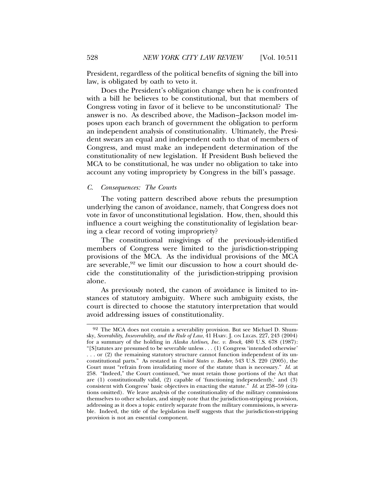President, regardless of the political benefits of signing the bill into law, is obligated by oath to veto it.

Does the President's obligation change when he is confronted with a bill he believes to be constitutional, but that members of Congress voting in favor of it believe to be unconstitutional? The answer is no. As described above, the Madison–Jackson model imposes upon each branch of government the obligation to perform an independent analysis of constitutionality. Ultimately, the President swears an equal and independent oath to that of members of Congress, and must make an independent determination of the constitutionality of new legislation. If President Bush believed the MCA to be constitutional, he was under no obligation to take into account any voting impropriety by Congress in the bill's passage.

#### *C. Consequences: The Courts*

The voting pattern described above rebuts the presumption underlying the canon of avoidance, namely, that Congress does not vote in favor of unconstitutional legislation. How, then, should this influence a court weighing the constitutionality of legislation bearing a clear record of voting impropriety?

The constitutional misgivings of the previously-identified members of Congress were limited to the jurisdiction-stripping provisions of the MCA. As the individual provisions of the MCA are severable,<sup>92</sup> we limit our discussion to how a court should decide the constitutionality of the jurisdiction-stripping provision alone.

As previously noted, the canon of avoidance is limited to instances of statutory ambiguity. Where such ambiguity exists, the court is directed to choose the statutory interpretation that would avoid addressing issues of constitutionality.

<sup>92</sup> The MCA does not contain a severability provision. But see Michael D. Shumsky, *Severability, Inseverability, and the Rule of Law*, 41 HARV. J. ON LEGIS. 227, 243 (2004) for a summary of the holding in *Alaska Airlines, Inc. v. Brock*, 480 U.S. 678 (1987): "[S]tatutes are presumed to be severable unless . . . (1) Congress 'intended otherwise' . . . or (2) the remaining statutory structure cannot function independent of its unconstitutional parts." As restated in *United States v. Booker*, 543 U.S. 220 (2005), the Court must "refrain from invalidating more of the statute than is necessary." *Id.* at 258. "Indeed," the Court continued, "we must retain those portions of the Act that are (1) constitutionally valid, (2) capable of 'functioning independently,' and (3) consistent with Congress' basic objectives in enacting the statute." *Id.* at 258–59 (citations omitted). We leave analysis of the constitutionality of the military commissions themselves to other scholars, and simply note that the jurisdiction-stripping provision, addressing as it does a topic entirely separate from the military commissions, is severable. Indeed, the title of the legislation itself suggests that the jurisdiction-stripping provision is not an essential component.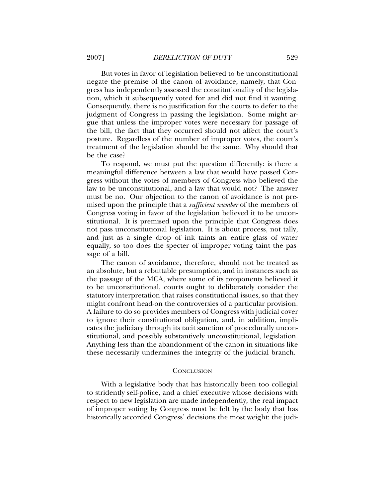But votes in favor of legislation believed to be unconstitutional negate the premise of the canon of avoidance, namely, that Congress has independently assessed the constitutionality of the legislation, which it subsequently voted for and did not find it wanting. Consequently, there is no justification for the courts to defer to the judgment of Congress in passing the legislation. Some might argue that unless the improper votes were necessary for passage of the bill, the fact that they occurred should not affect the court's posture. Regardless of the number of improper votes, the court's treatment of the legislation should be the same. Why should that be the case?

To respond, we must put the question differently: is there a meaningful difference between a law that would have passed Congress without the votes of members of Congress who believed the law to be unconstitutional, and a law that would not? The answer must be no. Our objection to the canon of avoidance is not premised upon the principle that a *sufficient number* of the members of Congress voting in favor of the legislation believed it to be unconstitutional. It is premised upon the principle that Congress does not pass unconstitutional legislation. It is about process, not tally, and just as a single drop of ink taints an entire glass of water equally, so too does the specter of improper voting taint the passage of a bill.

The canon of avoidance, therefore, should not be treated as an absolute, but a rebuttable presumption, and in instances such as the passage of the MCA, where some of its proponents believed it to be unconstitutional, courts ought to deliberately consider the statutory interpretation that raises constitutional issues, so that they might confront head-on the controversies of a particular provision. A failure to do so provides members of Congress with judicial cover to ignore their constitutional obligation, and, in addition, implicates the judiciary through its tacit sanction of procedurally unconstitutional, and possibly substantively unconstitutional, legislation. Anything less than the abandonment of the canon in situations like these necessarily undermines the integrity of the judicial branch.

#### **CONCLUSION**

With a legislative body that has historically been too collegial to stridently self-police, and a chief executive whose decisions with respect to new legislation are made independently, the real impact of improper voting by Congress must be felt by the body that has historically accorded Congress' decisions the most weight: the judi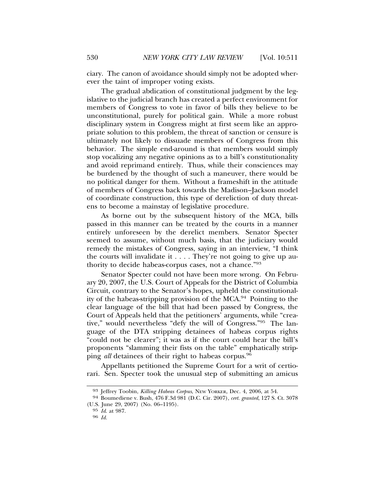ciary. The canon of avoidance should simply not be adopted wherever the taint of improper voting exists.

The gradual abdication of constitutional judgment by the legislative to the judicial branch has created a perfect environment for members of Congress to vote in favor of bills they believe to be unconstitutional, purely for political gain. While a more robust disciplinary system in Congress might at first seem like an appropriate solution to this problem, the threat of sanction or censure is ultimately not likely to dissuade members of Congress from this behavior. The simple end-around is that members would simply stop vocalizing any negative opinions as to a bill's constitutionality and avoid reprimand entirely. Thus, while their consciences may be burdened by the thought of such a maneuver, there would be no political danger for them. Without a frameshift in the attitude of members of Congress back towards the Madison–Jackson model of coordinate construction, this type of dereliction of duty threatens to become a mainstay of legislative procedure.

As borne out by the subsequent history of the MCA, bills passed in this manner can be treated by the courts in a manner entirely unforeseen by the derelict members. Senator Specter seemed to assume, without much basis, that the judiciary would remedy the mistakes of Congress, saying in an interview, "I think the courts will invalidate it . . . . They're not going to give up authority to decide habeas-corpus cases, not a chance."93

Senator Specter could not have been more wrong. On February 20, 2007, the U.S. Court of Appeals for the District of Columbia Circuit, contrary to the Senator's hopes, upheld the constitutionality of the habeas-stripping provision of the MCA.94 Pointing to the clear language of the bill that had been passed by Congress, the Court of Appeals held that the petitioners' arguments, while "creative," would nevertheless "defy the will of Congress."95 The language of the DTA stripping detainees of habeas corpus rights "could not be clearer"; it was as if the court could hear the bill's proponents "slamming their fists on the table" emphatically stripping *all* detainees of their right to habeas corpus.96

Appellants petitioned the Supreme Court for a writ of certiorari. Sen. Specter took the unusual step of submitting an amicus

<sup>93</sup> Jeffrey Toobin, *Killing Habeas Corpus*, NEW YORKER, Dec. 4, 2006, at 54.

<sup>94</sup> Boumediene v. Bush, 476 F.3d 981 (D.C. Cir. 2007), *cert. granted*, 127 S. Ct. 3078 (U.S. June 29, 2007) (No. 06–1195).

<sup>95</sup> *Id*. at 987.

<sup>96</sup> *Id.*